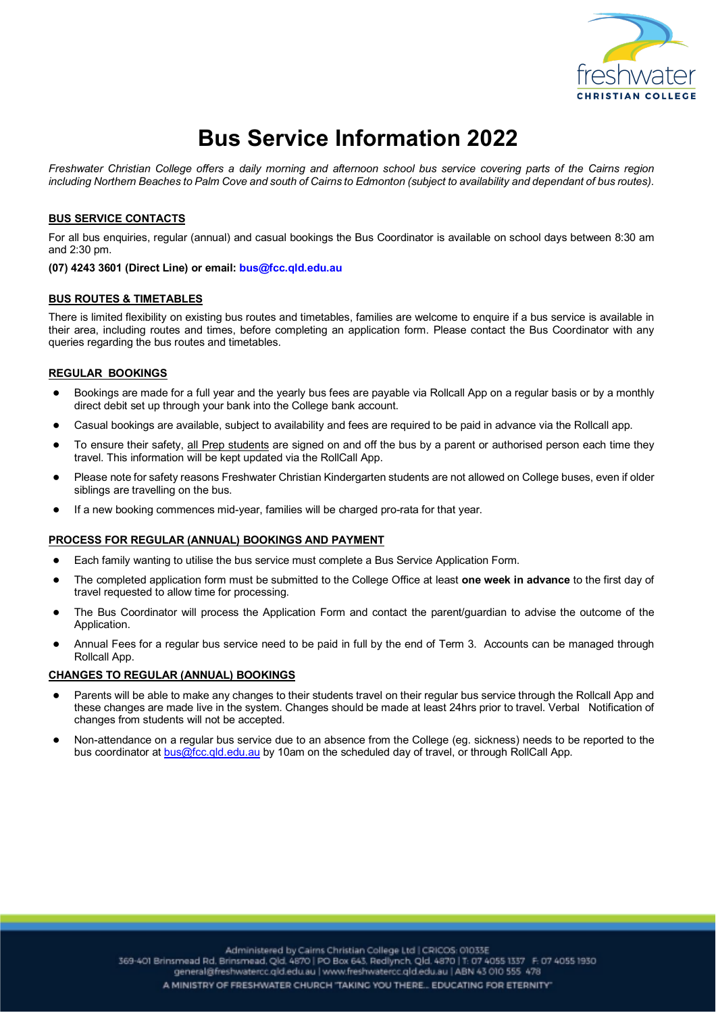

# **Bus Service Information 2022**

*Freshwater Christian College offers a daily morning and afternoon school bus service covering parts of the Cairns region including Northern Beaches to Palm Cove and south of Cairns to Edmonton (subject to availability and dependant of bus routes).*

## **BUS SERVICE CONTACTS**

For all bus enquiries, regular (annual) and casual bookings the Bus Coordinator is available on school days between 8:30 am and 2:30 pm.

# **(07) 4243 3601 (Direct Line) or email: bus@fcc.qld.edu.au**

## **BUS ROUTES & TIMETABLES**

There is limited flexibility on existing bus routes and timetables, families are welcome to enquire if a bus service is available in their area, including routes and times, before completing an application form. Please contact the Bus Coordinator with any queries regarding the bus routes and timetables.

## **REGULAR BOOKINGS**

- Bookings are made for a full year and the yearly bus fees are payable via Rollcall App on a regular basis or by a monthly direct debit set up through your bank into the College bank account.
- Casual bookings are available, subject to availability and fees are required to be paid in advance via the Rollcall app.
- To ensure their safety, all Prep students are signed on and off the bus by a parent or authorised person each time they travel. This information will be kept updated via the RollCall App.
- Please note for safety reasons Freshwater Christian Kindergarten students are not allowed on College buses, even if older siblings are travelling on the bus.
- If a new booking commences mid-year, families will be charged pro-rata for that year.

#### **PROCESS FOR REGULAR (ANNUAL) BOOKINGS AND PAYMENT**

- Each family wanting to utilise the bus service must complete a Bus Service Application Form.
- The completed application form must be submitted to the College Office at least **one week in advance** to the first day of travel requested to allow time for processing.
- The Bus Coordinator will process the Application Form and contact the parent/guardian to advise the outcome of the Application.
- Annual Fees for a regular bus service need to be paid in full by the end of Term 3. Accounts can be managed through Rollcall App.

#### **CHANGES TO REGULAR (ANNUAL) BOOKINGS**

- Parents will be able to make any changes to their students travel on their regular bus service through the Rollcall App and these changes are made live in the system. Changes should be made at least 24hrs prior to travel. Verbal Notification of changes from students will not be accepted.
- Non-attendance on a regular bus service due to an absence from the College (eg. sickness) needs to be reported to the bus coordinator at bus@fcc.qld.edu.au by 10am on the scheduled day of travel, or through RollCall App.

Administered by Cairns Christian College Ltd | CRICOS: 01033E 369-401 Brinsmead Rd, Brinsmead, Qld, 4870 | PO Box 643, Redlynch, Qld, 4870 | T: 07 4055 1337 F: 07 4055 1930 general@freshwatercc.qld.edu.au | www.freshwatercc.qld.edu.au | ABN 43 010 555 478 A MINISTRY OF FRESHWATER CHURCH 'TAKING YOU THERE... EDUCATING FOR ETERNITY"